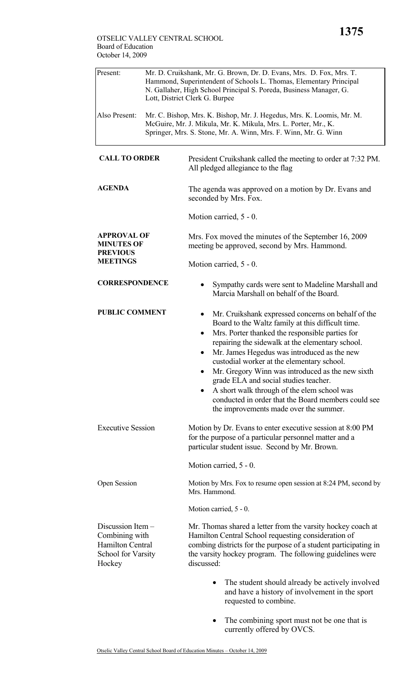| Present:                                                                                       | Mr. D. Cruikshank, Mr. G. Brown, Dr. D. Evans, Mrs. D. Fox, Mrs. T.<br>Hammond, Superintendent of Schools L. Thomas, Elementary Principal<br>N. Gallaher, High School Principal S. Poreda, Business Manager, G.<br>Lott, District Clerk G. Burpee |                                                                                                                                                                                                                                                                                                                                                                                                                                                                                                                                                                                                 |  |  |
|------------------------------------------------------------------------------------------------|---------------------------------------------------------------------------------------------------------------------------------------------------------------------------------------------------------------------------------------------------|-------------------------------------------------------------------------------------------------------------------------------------------------------------------------------------------------------------------------------------------------------------------------------------------------------------------------------------------------------------------------------------------------------------------------------------------------------------------------------------------------------------------------------------------------------------------------------------------------|--|--|
| Also Present:                                                                                  |                                                                                                                                                                                                                                                   | Mr. C. Bishop, Mrs. K. Bishop, Mr. J. Hegedus, Mrs. K. Loomis, Mr. M.<br>McGuire, Mr. J. Mikula, Mr. K. Mikula, Mrs. L. Porter, Mr., K.<br>Springer, Mrs. S. Stone, Mr. A. Winn, Mrs. F. Winn, Mr. G. Winn                                                                                                                                                                                                                                                                                                                                                                                      |  |  |
| <b>CALL TO ORDER</b>                                                                           |                                                                                                                                                                                                                                                   | President Cruikshank called the meeting to order at 7:32 PM.<br>All pledged allegiance to the flag                                                                                                                                                                                                                                                                                                                                                                                                                                                                                              |  |  |
| <b>AGENDA</b>                                                                                  |                                                                                                                                                                                                                                                   | The agenda was approved on a motion by Dr. Evans and<br>seconded by Mrs. Fox.                                                                                                                                                                                                                                                                                                                                                                                                                                                                                                                   |  |  |
|                                                                                                |                                                                                                                                                                                                                                                   | Motion carried, 5 - 0.                                                                                                                                                                                                                                                                                                                                                                                                                                                                                                                                                                          |  |  |
| <b>APPROVAL OF</b><br><b>MINUTES OF</b><br><b>PREVIOUS</b><br><b>MEETINGS</b>                  |                                                                                                                                                                                                                                                   | Mrs. Fox moved the minutes of the September 16, 2009<br>meeting be approved, second by Mrs. Hammond.                                                                                                                                                                                                                                                                                                                                                                                                                                                                                            |  |  |
|                                                                                                |                                                                                                                                                                                                                                                   | Motion carried, 5 - 0.                                                                                                                                                                                                                                                                                                                                                                                                                                                                                                                                                                          |  |  |
| <b>CORRESPONDENCE</b>                                                                          |                                                                                                                                                                                                                                                   | Sympathy cards were sent to Madeline Marshall and<br>٠<br>Marcia Marshall on behalf of the Board.                                                                                                                                                                                                                                                                                                                                                                                                                                                                                               |  |  |
| <b>PUBLIC COMMENT</b>                                                                          |                                                                                                                                                                                                                                                   | Mr. Cruikshank expressed concerns on behalf of the<br>$\bullet$<br>Board to the Waltz family at this difficult time.<br>Mrs. Porter thanked the responsible parties for<br>$\bullet$<br>repairing the sidewalk at the elementary school.<br>Mr. James Hegedus was introduced as the new<br>custodial worker at the elementary school.<br>Mr. Gregory Winn was introduced as the new sixth<br>grade ELA and social studies teacher.<br>A short walk through of the elem school was<br>$\bullet$<br>conducted in order that the Board members could see<br>the improvements made over the summer. |  |  |
| <b>Executive Session</b>                                                                       |                                                                                                                                                                                                                                                   | Motion by Dr. Evans to enter executive session at 8:00 PM<br>for the purpose of a particular personnel matter and a<br>particular student issue. Second by Mr. Brown.                                                                                                                                                                                                                                                                                                                                                                                                                           |  |  |
|                                                                                                |                                                                                                                                                                                                                                                   | Motion carried, 5 - 0.                                                                                                                                                                                                                                                                                                                                                                                                                                                                                                                                                                          |  |  |
| <b>Open Session</b>                                                                            |                                                                                                                                                                                                                                                   | Motion by Mrs. Fox to resume open session at 8:24 PM, second by<br>Mrs. Hammond.                                                                                                                                                                                                                                                                                                                                                                                                                                                                                                                |  |  |
|                                                                                                |                                                                                                                                                                                                                                                   | Motion carried, 5 - 0.                                                                                                                                                                                                                                                                                                                                                                                                                                                                                                                                                                          |  |  |
| Discussion Item -<br>Combining with<br><b>Hamilton Central</b><br>School for Varsity<br>Hockey |                                                                                                                                                                                                                                                   | Mr. Thomas shared a letter from the varsity hockey coach at<br>Hamilton Central School requesting consideration of<br>combing districts for the purpose of a student participating in<br>the varsity hockey program. The following guidelines were<br>discussed:                                                                                                                                                                                                                                                                                                                                |  |  |
|                                                                                                |                                                                                                                                                                                                                                                   | The student should already be actively involved<br>and have a history of involvement in the sport<br>requested to combine.                                                                                                                                                                                                                                                                                                                                                                                                                                                                      |  |  |

• The combining sport must not be one that is currently offered by OVCS.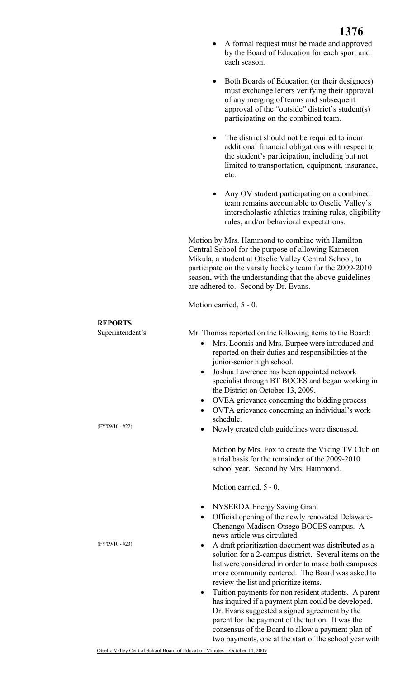- A formal request must be made and approved by the Board of Education for each sport and each season.
- Both Boards of Education (or their designees) must exchange letters verifying their approval of any merging of teams and subsequent approval of the "outside" district's student(s) participating on the combined team.
- The district should not be required to incur additional financial obligations with respect to the student's participation, including but not limited to transportation, equipment, insurance, etc.
- Any OV student participating on a combined team remains accountable to Otselic Valley's interscholastic athletics training rules, eligibility rules, and/or behavioral expectations.

Motion by Mrs. Hammond to combine with Hamilton Central School for the purpose of allowing Kameron Mikula, a student at Otselic Valley Central School, to participate on the varsity hockey team for the 2009-2010 season, with the understanding that the above guidelines are adhered to. Second by Dr. Evans.

Motion carried, 5 - 0.

## **REPORTS**

Superintendent's

(FY'09/10 - #22)

(FY'09/10 - #23)

Mr. Thomas reported on the following items to the Board:

- Mrs. Loomis and Mrs. Burpee were introduced and reported on their duties and responsibilities at the junior-senior high school.
- Joshua Lawrence has been appointed network specialist through BT BOCES and began working in the District on October 13, 2009.
- OVEA grievance concerning the bidding process
- OVTA grievance concerning an individual's work schedule.
- Newly created club guidelines were discussed.

Motion by Mrs. Fox to create the Viking TV Club on a trial basis for the remainder of the 2009-2010 school year. Second by Mrs. Hammond.

Motion carried, 5 - 0.

- NYSERDA Energy Saving Grant
- Official opening of the newly renovated Delaware-Chenango-Madison-Otsego BOCES campus. A news article was circulated.
- A draft prioritization document was distributed as a solution for a 2-campus district. Several items on the list were considered in order to make both campuses more community centered. The Board was asked to review the list and prioritize items.
- Tuition payments for non resident students. A parent has inquired if a payment plan could be developed. Dr. Evans suggested a signed agreement by the parent for the payment of the tuition. It was the consensus of the Board to allow a payment plan of two payments, one at the start of the school year with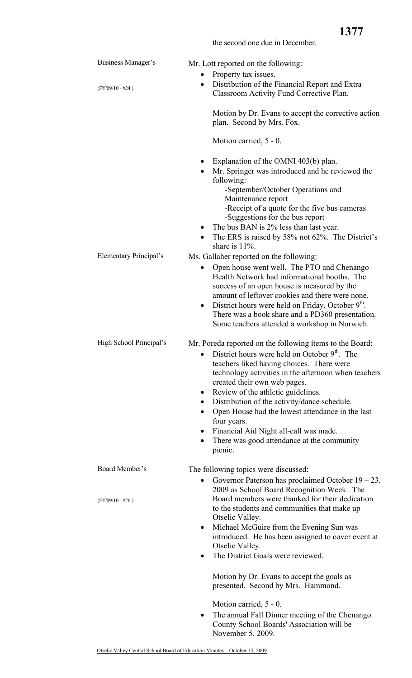**1377**

| Business Manager's      | Mr. Lott reported on the following:<br>Property tax issues.                                                                                                                                                                                                                                                                                                                                                                                                                                                                                                      |
|-------------------------|------------------------------------------------------------------------------------------------------------------------------------------------------------------------------------------------------------------------------------------------------------------------------------------------------------------------------------------------------------------------------------------------------------------------------------------------------------------------------------------------------------------------------------------------------------------|
| $(FY'09/10 - #24)$      | Distribution of the Financial Report and Extra<br>$\bullet$<br>Classroom Activity Fund Corrective Plan.                                                                                                                                                                                                                                                                                                                                                                                                                                                          |
|                         | Motion by Dr. Evans to accept the corrective action<br>plan. Second by Mrs. Fox.                                                                                                                                                                                                                                                                                                                                                                                                                                                                                 |
|                         | Motion carried, 5 - 0.                                                                                                                                                                                                                                                                                                                                                                                                                                                                                                                                           |
|                         | Explanation of the OMNI 403(b) plan.<br>Mr. Springer was introduced and he reviewed the<br>$\bullet$<br>following:<br>-September/October Operations and<br>Maintenance report<br>-Receipt of a quote for the five bus cameras<br>-Suggestions for the bus report<br>The bus BAN is 2% less than last year.<br>The ERS is raised by 58% not 62%. The District's<br>$\bullet$<br>share is $11\%$ .                                                                                                                                                                 |
| Elementary Principal's  | Ms. Gallaher reported on the following:                                                                                                                                                                                                                                                                                                                                                                                                                                                                                                                          |
|                         | Open house went well. The PTO and Chenango<br>٠<br>Health Network had informational booths. The<br>success of an open house is measured by the<br>amount of leftover cookies and there were none.<br>District hours were held on Friday, October 9 <sup>th</sup> .<br>$\bullet$<br>There was a book share and a PD360 presentation.<br>Some teachers attended a workshop in Norwich.                                                                                                                                                                             |
| High School Principal's | Mr. Poreda reported on the following items to the Board:<br>District hours were held on October $9th$ . The<br>teachers liked having choices. There were<br>technology activities in the afternoon when teachers<br>created their own web pages.<br>Review of the athletic guidelines.<br>$\bullet$<br>Distribution of the activity/dance schedule.<br>Open House had the lowest attendance in the last<br>$\bullet$<br>four years.<br>Financial Aid Night all-call was made.<br>$\bullet$<br>There was good attendance at the community<br>$\bullet$<br>picnic. |
| Board Member's          | The following topics were discussed:<br>Governor Paterson has proclaimed October $19 - 23$ ,<br>$\bullet$                                                                                                                                                                                                                                                                                                                                                                                                                                                        |
| $(FY'09/10 - #26)$      | 2009 as School Board Recognition Week. The<br>Board members were thanked for their dedication<br>to the students and communities that make up<br>Otselic Valley.<br>Michael McGuire from the Evening Sun was<br>$\bullet$<br>introduced. He has been assigned to cover event at<br>Otselic Valley.<br>The District Goals were reviewed.<br>$\bullet$                                                                                                                                                                                                             |
|                         | Motion by Dr. Evans to accept the goals as<br>presented. Second by Mrs. Hammond.                                                                                                                                                                                                                                                                                                                                                                                                                                                                                 |
|                         | Motion carried, 5 - 0.                                                                                                                                                                                                                                                                                                                                                                                                                                                                                                                                           |
|                         | The annual Fall Dinner meeting of the Chenango<br>$\bullet$<br>County School Boards' Association will be<br>November 5, 2009.                                                                                                                                                                                                                                                                                                                                                                                                                                    |

the second one due in December.

Otselic Valley Central School Board of Education Minutes – October 14, 2009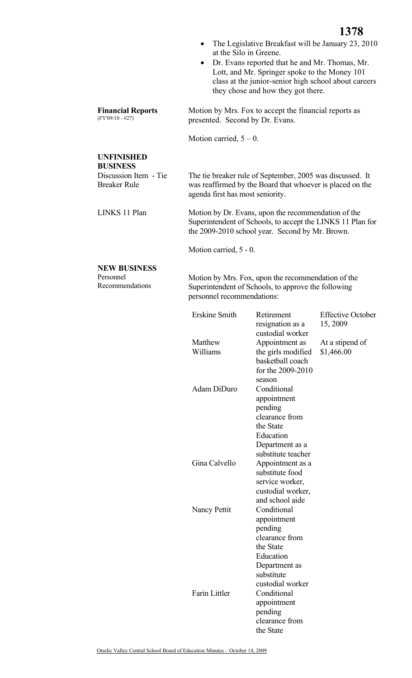- The Legislative Breakfast will be January 23, 2010 at the Silo in Greene.
- Dr. Evans reported that he and Mr. Thomas, Mr. Lott, and Mr. Springer spoke to the Money 101 class at the junior-senior high school about careers they chose and how they got there.

Motion by Mrs. Fox to accept the financial reports as presented. Second by Dr. Evans.

Motion carried,  $5 - 0$ .

## **UNFINISHED BUSINESS**

**Financial Reports** 

(FY'09/10 - #27)

| Discussion Item - Tie | The tie breaker rule of September, 2005 was discussed. It |
|-----------------------|-----------------------------------------------------------|
| <b>Breaker Rule</b>   | was reaffirmed by the Board that whoever is placed on the |
|                       | agenda first has most seniority.                          |
|                       |                                                           |

LINKS 11 Plan Motion by Dr. Evans, upon the recommendation of the Superintendent of Schools, to accept the LINKS 11 Plan for the 2009-2010 school year. Second by Mr. Brown.

Motion carried, 5 - 0.

## **NEW BUSINESS**

Personnel Recommendations Motion by Mrs. Fox, upon the recommendation of the Superintendent of Schools, to approve the following personnel recommendations:

| <b>Erskine Smith</b> | Retirement<br>resignation as a<br>custodial worker | <b>Effective October</b><br>15, 2009 |
|----------------------|----------------------------------------------------|--------------------------------------|
| Matthew<br>Williams  | Appointment as                                     | At a stipend of                      |
|                      | the girls modified<br>basketball coach             | \$1,466.00                           |
|                      | for the 2009-2010                                  |                                      |
|                      | season                                             |                                      |
| Adam DiDuro          | Conditional                                        |                                      |
|                      | appointment                                        |                                      |
|                      | pending                                            |                                      |
|                      | clearance from<br>the State                        |                                      |
|                      | Education                                          |                                      |
|                      | Department as a                                    |                                      |
|                      | substitute teacher                                 |                                      |
| Gina Calvello        | Appointment as a                                   |                                      |
|                      | substitute food                                    |                                      |
|                      | service worker,                                    |                                      |
|                      | custodial worker,                                  |                                      |
|                      | and school aide                                    |                                      |
| Nancy Pettit         | Conditional                                        |                                      |
|                      | appointment                                        |                                      |
|                      | pending                                            |                                      |
|                      | clearance from                                     |                                      |
|                      | the State<br>Education                             |                                      |
|                      | Department as                                      |                                      |
|                      | substitute                                         |                                      |
|                      | custodial worker                                   |                                      |
| <b>Farin Littler</b> | Conditional                                        |                                      |
|                      | appointment                                        |                                      |
|                      | pending                                            |                                      |
|                      | clearance from                                     |                                      |
|                      | the State                                          |                                      |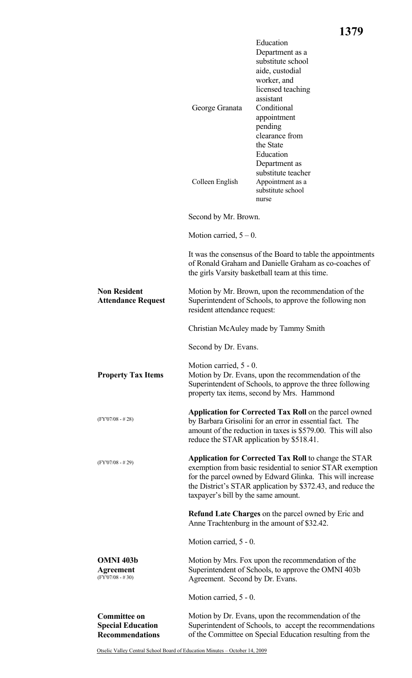|                                                                           | George Granata<br>Colleen English                                                                                                              | Education<br>Department as a<br>substitute school<br>aide, custodial<br>worker, and<br>licensed teaching<br>assistant<br>Conditional<br>appointment<br>pending<br>clearance from<br>the State<br>Education<br>Department as<br>substitute teacher<br>Appointment as a<br>substitute school |  |
|---------------------------------------------------------------------------|------------------------------------------------------------------------------------------------------------------------------------------------|--------------------------------------------------------------------------------------------------------------------------------------------------------------------------------------------------------------------------------------------------------------------------------------------|--|
|                                                                           | Second by Mr. Brown.                                                                                                                           | nurse                                                                                                                                                                                                                                                                                      |  |
|                                                                           | Motion carried, $5 - 0$ .                                                                                                                      |                                                                                                                                                                                                                                                                                            |  |
|                                                                           |                                                                                                                                                | It was the consensus of the Board to table the appointments<br>of Ronald Graham and Danielle Graham as co-coaches of<br>the girls Varsity basketball team at this time.                                                                                                                    |  |
| <b>Non Resident</b><br><b>Attendance Request</b>                          | Motion by Mr. Brown, upon the recommendation of the<br>Superintendent of Schools, to approve the following non<br>resident attendance request: |                                                                                                                                                                                                                                                                                            |  |
|                                                                           |                                                                                                                                                | Christian McAuley made by Tammy Smith                                                                                                                                                                                                                                                      |  |
|                                                                           | Second by Dr. Evans.                                                                                                                           |                                                                                                                                                                                                                                                                                            |  |
| <b>Property Tax Items</b>                                                 | Motion carried, 5 - 0.                                                                                                                         | Motion by Dr. Evans, upon the recommendation of the<br>Superintendent of Schools, to approve the three following<br>property tax items, second by Mrs. Hammond                                                                                                                             |  |
| $(FY'07/08 - #28)$                                                        | reduce the STAR application by \$518.41.                                                                                                       | <b>Application for Corrected Tax Roll on the parcel owned</b><br>by Barbara Grisolini for an error in essential fact. The<br>amount of the reduction in taxes is \$579.00. This will also                                                                                                  |  |
| $(FY'07/08 - #29)$                                                        | taxpayer's bill by the same amount.                                                                                                            | <b>Application for Corrected Tax Roll</b> to change the STAR<br>exemption from basic residential to senior STAR exemption<br>for the parcel owned by Edward Glinka. This will increase<br>the District's STAR application by \$372.43, and reduce the                                      |  |
|                                                                           |                                                                                                                                                | <b>Refund Late Charges on the parcel owned by Eric and</b><br>Anne Trachtenburg in the amount of \$32.42.                                                                                                                                                                                  |  |
|                                                                           | Motion carried, 5 - 0.                                                                                                                         |                                                                                                                                                                                                                                                                                            |  |
| <b>OMNI 403b</b><br><b>Agreement</b><br>$(FY'07/08 - #30)$                | Agreement. Second by Dr. Evans.                                                                                                                | Motion by Mrs. Fox upon the recommendation of the<br>Superintendent of Schools, to approve the OMNI 403b                                                                                                                                                                                   |  |
|                                                                           | Motion carried, 5 - 0.                                                                                                                         |                                                                                                                                                                                                                                                                                            |  |
| <b>Committee on</b><br><b>Special Education</b><br><b>Recommendations</b> |                                                                                                                                                | Motion by Dr. Evans, upon the recommendation of the<br>Superintendent of Schools, to accept the recommendations<br>of the Committee on Special Education resulting from the                                                                                                                |  |